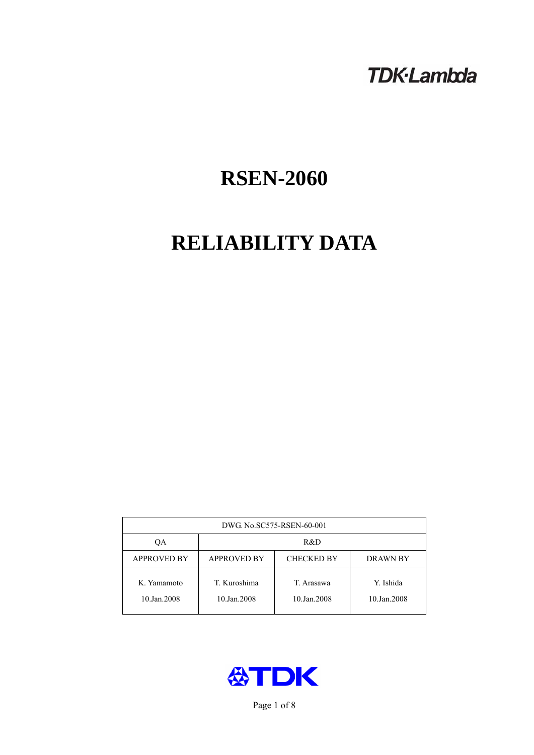# **TDK-Lambda**

# **RSEN-2060**

# **RELIABILITY DATA**

| DWG. No.SC575-RSEN-60-001  |                                                            |                           |                          |  |  |
|----------------------------|------------------------------------------------------------|---------------------------|--------------------------|--|--|
| ОA                         | R&D                                                        |                           |                          |  |  |
| <b>APPROVED BY</b>         | <b>APPROVED BY</b><br><b>CHECKED BY</b><br><b>DRAWN BY</b> |                           |                          |  |  |
| K. Yamamoto<br>10.Jan.2008 | T. Kuroshima<br>10.Jan.2008                                | T. Arasawa<br>10.Jan.2008 | Y. Ishida<br>10.Jan.2008 |  |  |



Page 1 of 8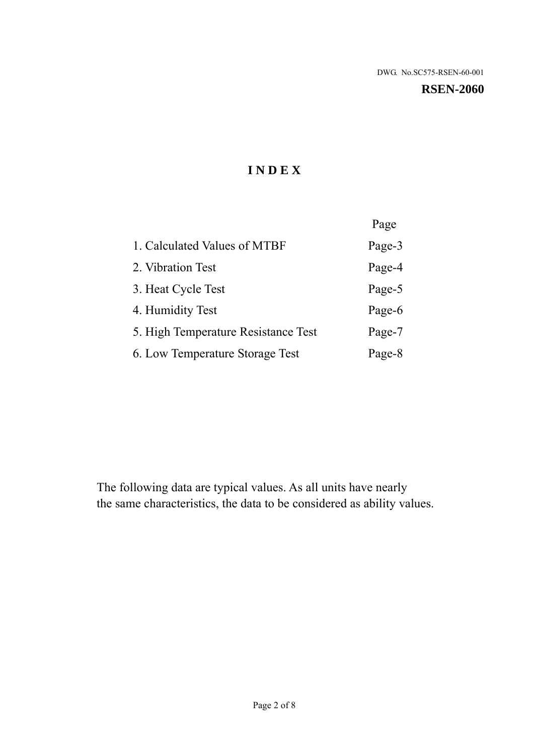#### **RSEN-2060**

# **I N D E X**

|                                     | Page   |
|-------------------------------------|--------|
| 1. Calculated Values of MTBF        | Page-3 |
| 2. Vibration Test                   | Page-4 |
| 3. Heat Cycle Test                  | Page-5 |
| 4. Humidity Test                    | Page-6 |
| 5. High Temperature Resistance Test | Page-7 |
| 6. Low Temperature Storage Test     | Page-8 |

The following data are typical values. As all units have nearly the same characteristics, the data to be considered as ability values.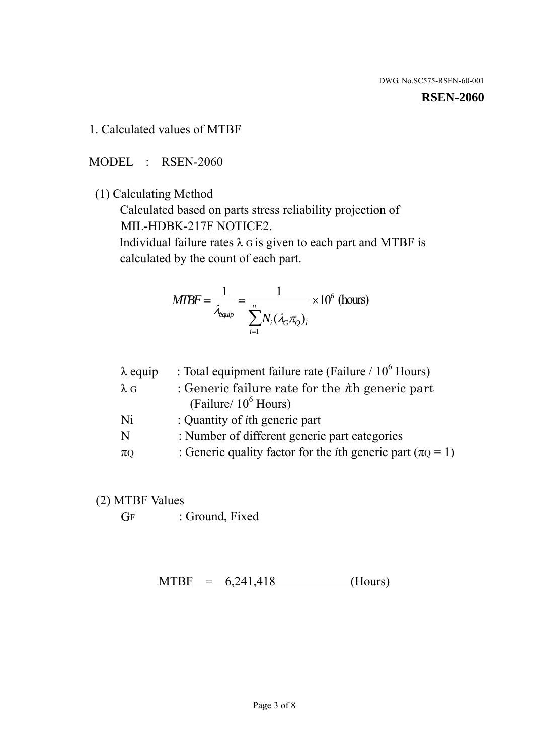#### **RSEN-2060**

1. Calculated values of MTBF

MODEL : RSEN-2060

(1) Calculating Method

 Calculated based on parts stress reliability projection of MIL-HDBK-217F NOTICE2.

Individual failure rates  $\lambda$  G is given to each part and MTBF is calculated by the count of each part.

$$
MIBF = \frac{1}{\lambda_{\text{equip}}} = \frac{1}{\sum_{i=1}^{n} N_i (\lambda_G \pi_Q)_i} \times 10^6 \text{ (hours)}
$$

| $\lambda$ equip | : Total equipment failure rate (Failure $/ 10^6$ Hours)                   |
|-----------------|---------------------------------------------------------------------------|
| $\lambda$ G     | : Generic failure rate for the $\hbar$ generic part                       |
|                 | (Failure/ $10^6$ Hours)                                                   |
| Ni              | : Quantity of <i>i</i> th generic part                                    |
| N               | : Number of different generic part categories                             |
| $\pi$ Q         | : Generic quality factor for the <i>i</i> th generic part ( $\pi Q = 1$ ) |

- (2) MTBF Values
	- GF : Ground, Fixed

 $MTBF = 6,241,418$  (Hours)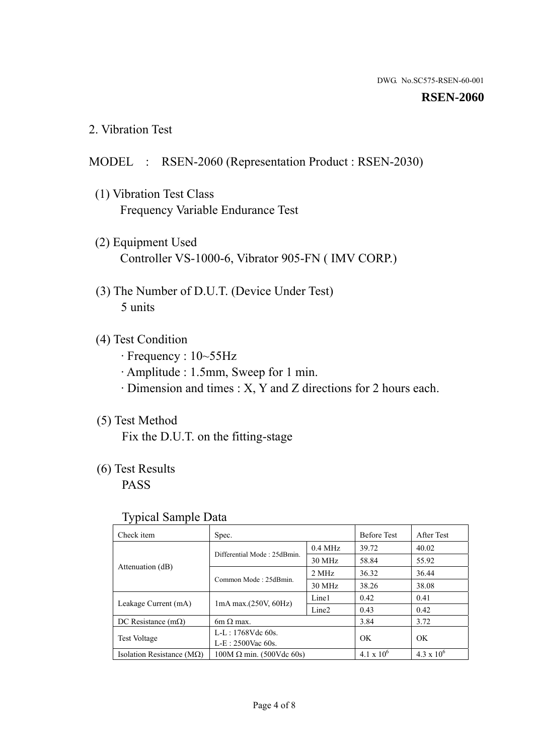#### **RSEN-2060**

2. Vibration Test

## MODEL : RSEN-2060 (Representation Product : RSEN-2030)

- (1) Vibration Test Class Frequency Variable Endurance Test
- (2) Equipment Used Controller VS-1000-6, Vibrator 905-FN ( IMV CORP.)
- (3) The Number of D.U.T. (Device Under Test) 5 units
- (4) Test Condition
	- · Frequency : 10~55Hz
	- · Amplitude : 1.5mm, Sweep for 1 min.
	- · Dimension and times : X, Y and Z directions for 2 hours each.

## (5) Test Method

Fix the D.U.T. on the fitting-stage

# (6) Test Results

PASS

#### Typical Sample Data

| ັ່                                 |                                                         |           |                     |                     |
|------------------------------------|---------------------------------------------------------|-----------|---------------------|---------------------|
| Check item                         | Spec.                                                   |           | <b>Before Test</b>  | After Test          |
|                                    | Differential Mode: 25dBmin.                             | $0.4$ MHz | 39.72               | 40.02               |
|                                    |                                                         | 30 MHz    | 58.84               | 55.92               |
| Attenuation (dB)                   | Common Mode: 25dBmin.                                   | 2 MHz     | 36.32               | 36.44               |
|                                    |                                                         | 30 MHz    | 38.26               | 38.08               |
| Leakage Current (mA)               | Line1<br>$1mA$ max. $(250V, 60Hz)$<br>Line <sub>2</sub> |           | 0.42                | 0.41                |
|                                    |                                                         | 0.43      | 0.42                |                     |
| DC Resistance $(m\Omega)$          | 6m $\Omega$ max.                                        |           | 3.84                | 3.72                |
| <b>Test Voltage</b>                | $L-L: 1768Vdc$ 60s.                                     |           | OK                  | OK.                 |
|                                    | $L-E: 2500$ Vac 60s.                                    |           |                     |                     |
| Isolation Resistance ( $M\Omega$ ) | $100M \Omega$ min. (500Vdc 60s)                         |           | $4.1 \times 10^{6}$ | $4.3 \times 10^{6}$ |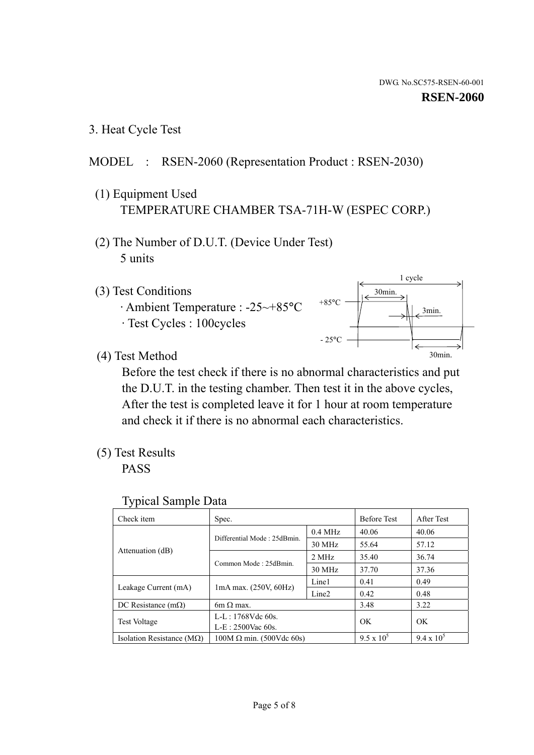3. Heat Cycle Test

## MODEL : RSEN-2060 (Representation Product : RSEN-2030)

- (1) Equipment Used TEMPERATURE CHAMBER TSA-71H-W (ESPEC CORP.)
- (2) The Number of D.U.T. (Device Under Test) 5 units
- (3) Test Conditions
	- · Ambient Temperature : -25~+85°C · Test Cycles : 100cycles



(4) Test Method

 Before the test check if there is no abnormal characteristics and put the D.U.T. in the testing chamber. Then test it in the above cycles, After the test is completed leave it for 1 hour at room temperature and check it if there is no abnormal each characteristics.

(5) Test Results

PASS

| <b>Typical Sample Data</b> |  |  |
|----------------------------|--|--|
|----------------------------|--|--|

| Check item                    | Spec.                                                                                                                          |           | <b>Before Test</b> | After Test        |
|-------------------------------|--------------------------------------------------------------------------------------------------------------------------------|-----------|--------------------|-------------------|
|                               |                                                                                                                                | $0.4$ MHz | 40.06              | 40.06             |
|                               | Differential Mode: 25dBmin.                                                                                                    | 30 MHz    | 55.64              | 57.12             |
| Attenuation (dB)              | Common Mode: 25dBmin.                                                                                                          | 2 MHz     | 35.40              | 36.74             |
|                               |                                                                                                                                | 30 MHz    | 37.70              | 37.36             |
|                               | Line1<br>$1mA$ max. $(250V, 60Hz)$<br>Line <sub>2</sub><br>$6m \Omega$ max.<br>L-L: $1768V$ de $60s$ .<br>$L-E: 2500$ Vac 60s. |           | 0.41               | 0.49              |
| Leakage Current (mA)          |                                                                                                                                |           | 0.42               | 0.48              |
| DC Resistance $(m\Omega)$     |                                                                                                                                |           | 3.48               | 3.22              |
|                               |                                                                                                                                |           | OK                 | OK                |
| <b>Test Voltage</b>           |                                                                                                                                |           |                    |                   |
| Isolation Resistance ( $MQ$ ) | $100M \Omega$ min. (500Vdc 60s)                                                                                                |           | $9.5 \times 10^5$  | $9.4 \times 10^5$ |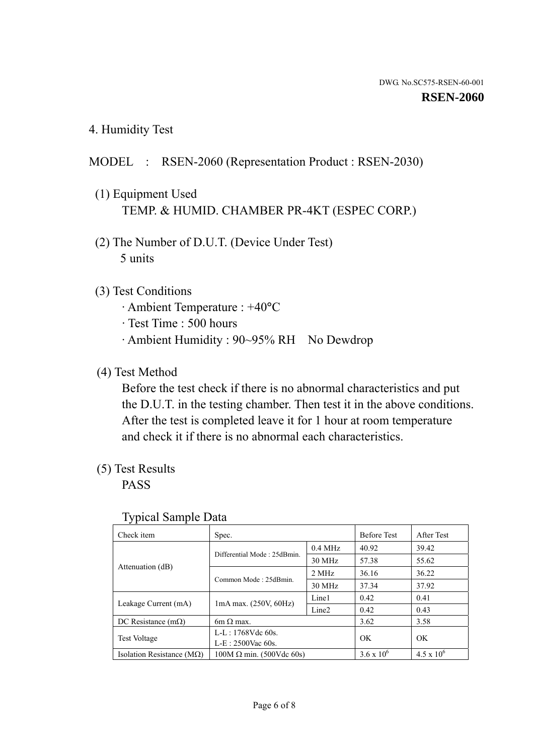4. Humidity Test

## MODEL : RSEN-2060 (Representation Product : RSEN-2030)

- (1) Equipment Used TEMP. & HUMID. CHAMBER PR-4KT (ESPEC CORP.)
- (2) The Number of D.U.T. (Device Under Test) 5 units

### (3) Test Conditions

- · Ambient Temperature : +40°C
- · Test Time : 500 hours
- · Ambient Humidity : 90~95% RH No Dewdrop

### (4) Test Method

 Before the test check if there is no abnormal characteristics and put the D.U.T. in the testing chamber. Then test it in the above conditions. After the test is completed leave it for 1 hour at room temperature and check it if there is no abnormal each characteristics.

### (5) Test Results

PASS

| ╯┸                                 |                                 |                   |                     |                     |
|------------------------------------|---------------------------------|-------------------|---------------------|---------------------|
| Check item                         | Spec.                           |                   | <b>Before Test</b>  | After Test          |
|                                    | Differential Mode: 25dBmin.     | $0.4$ MHz         | 40.92               | 39.42               |
|                                    |                                 | 30 MHz            | 57.38               | 55.62               |
| Attenuation (dB)                   | Common Mode: 25dBmin.           | 2 MHz             | 36.16               | 36.22               |
|                                    |                                 | 30 MHz            | 37.34               | 37.92               |
| Leakage Current (mA)               | $1mA$ max. $(250V, 60Hz)$       | Line1             | 0.42                | 0.41                |
|                                    |                                 | Line <sub>2</sub> | 0.42                | 0.43                |
| DC Resistance $(m\Omega)$          | 6m $\Omega$ max.                |                   | 3.62                | 3.58                |
| <b>Test Voltage</b>                | $L-L: 1768Vdc$ 60s.             |                   | OK                  | OK                  |
|                                    | $L-E: 2500$ Vac 60s.            |                   |                     |                     |
| Isolation Resistance ( $M\Omega$ ) | $100M \Omega$ min. (500Vdc 60s) |                   | $3.6 \times 10^{6}$ | $4.5 \times 10^{6}$ |

#### Typical Sample Data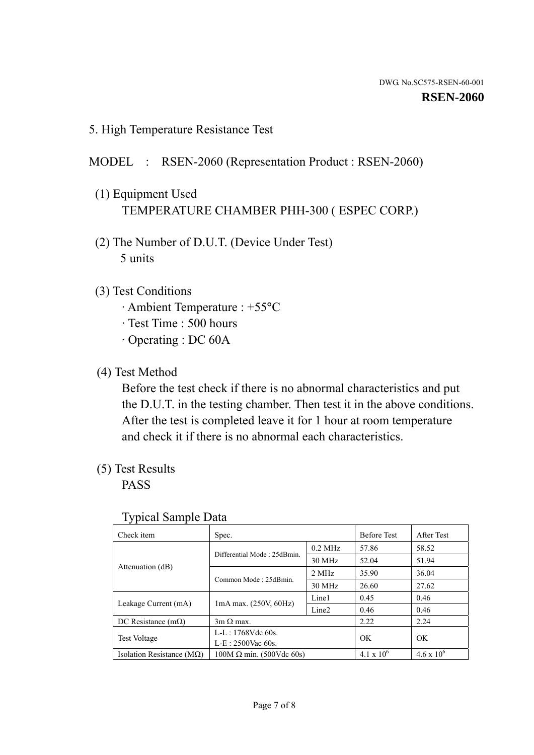5. High Temperature Resistance Test

#### MODEL : RSEN-2060 (Representation Product : RSEN-2060)

- (1) Equipment Used TEMPERATURE CHAMBER PHH-300 ( ESPEC CORP.)
- (2) The Number of D.U.T. (Device Under Test) 5 units
- (3) Test Conditions
	- · Ambient Temperature : +55°C
	- · Test Time : 500 hours
	- · Operating : DC 60A
- (4) Test Method

 Before the test check if there is no abnormal characteristics and put the D.U.T. in the testing chamber. Then test it in the above conditions. After the test is completed leave it for 1 hour at room temperature and check it if there is no abnormal each characteristics.

(5) Test Results

PASS

| . .                                |                                 |                   |                     |                     |
|------------------------------------|---------------------------------|-------------------|---------------------|---------------------|
| Check item                         | Spec.                           |                   | <b>Before Test</b>  | After Test          |
|                                    | Differential Mode: 25dBmin.     | $0.2$ MHz         | 57.86               | 58.52               |
|                                    |                                 | 30 MHz            | 52.04               | 51.94               |
| Attenuation (dB)                   | Common Mode: 25dBmin.           | 2 MHz             | 35.90               | 36.04               |
|                                    |                                 | 30 MHz            | 26.60               | 27.62               |
| Leakage Current (mA)               | $1mA$ max. $(250V, 60Hz)$       | Line1             | 0.45                | 0.46                |
|                                    |                                 | Line <sub>2</sub> | 0.46                | 0.46                |
| DC Resistance $(m\Omega)$          | $3m \Omega$ max.                |                   | 2.22                | 2.24                |
| <b>Test Voltage</b>                | $L-L: 1768Vdc$ 60s.             |                   | OK                  | OK                  |
|                                    | $L-E$ : 2500Vac 60s.            |                   |                     |                     |
| Isolation Resistance ( $M\Omega$ ) | $100M \Omega$ min. (500Vdc 60s) |                   | $4.1 \times 10^{6}$ | $4.6 \times 10^{6}$ |

#### Typical Sample Data